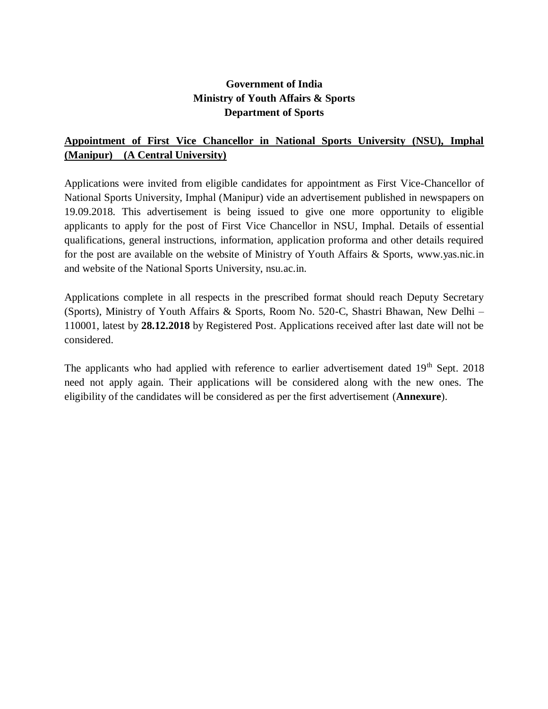## **Government of India Ministry of Youth Affairs & Sports Department of Sports**

# **Appointment of First Vice Chancellor in National Sports University (NSU), Imphal (Manipur) (A Central University)**

Applications were invited from eligible candidates for appointment as First Vice-Chancellor of National Sports University, Imphal (Manipur) vide an advertisement published in newspapers on 19.09.2018. This advertisement is being issued to give one more opportunity to eligible applicants to apply for the post of First Vice Chancellor in NSU, Imphal. Details of essential qualifications, general instructions, information, application proforma and other details required for the post are available on the website of Ministry of Youth Affairs & Sports, [www.yas.nic.in](http://www.yas.nic.in/) and website of the National Sports University, nsu.ac.in.

Applications complete in all respects in the prescribed format should reach Deputy Secretary (Sports), Ministry of Youth Affairs & Sports, Room No. 520-C, Shastri Bhawan, New Delhi – 110001, latest by **28.12.2018** by Registered Post. Applications received after last date will not be considered.

The applicants who had applied with reference to earlier advertisement dated  $19<sup>th</sup>$  Sept. 2018 need not apply again. Their applications will be considered along with the new ones. The eligibility of the candidates will be considered as per the first advertisement (**Annexure**).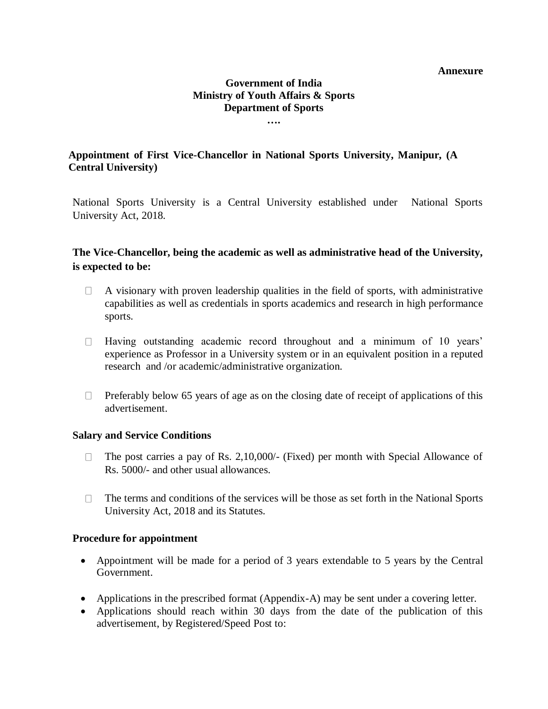#### **Annexure**

#### **Government of India Ministry of Youth Affairs & Sports Department of Sports ….**

**Appointment of First Vice-Chancellor in National Sports University, Manipur, (A Central University)**

[National Sports University is a](http://www.hnbgu.ac.in/) Central University established under National Sports University Act, 2018.

## **The Vice-Chancellor, being the academic as well as administrative head of the University, is expected to be:**

- A visionary with proven leadership qualities in the field of sports, with administrative  $\Box$ capabilities as well as credentials in sports academics and research in high performance sports.
- $\Box$ Having outstanding academic record throughout and a minimum of 10 years' experience as Professor in a University system or in an equivalent position in a reputed research and /or academic/administrative organization.
- $\Box$ Preferably below 65 years of age as on the closing date of receipt of applications of this advertisement.

### **Salary and Service Conditions**

- $\Box$ The post carries a pay of Rs. 2,10,000/- (Fixed) per month with Special Allowance of Rs. 5000/- and other usual allowances.
- The terms and conditions of the services will be those as set forth in the National Sports  $\Box$ University Act, 2018 and its Statutes.

### **Procedure for appointment**

- Appointment will be made for a period of 3 years extendable to 5 years by the Central Government.
- Applications in the prescribed format (Appendix-A) may be sent under a covering letter.
- Applications should reach within 30 days from the date of the publication of this advertisement, by Registered/Speed Post to: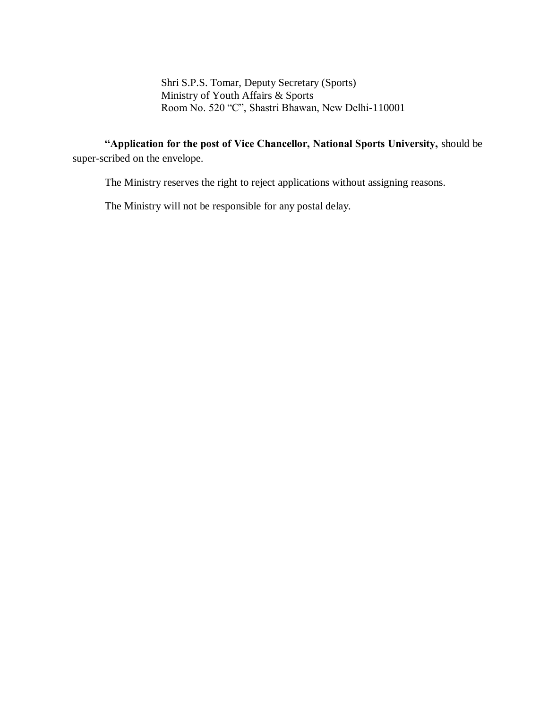Shri S.P.S. Tomar, Deputy Secretary (Sports) Ministry of Youth Affairs & Sports Room No. 520 "C", Shastri Bhawan, New Delhi-110001

**"Application for the post of Vice Chancellor, National Sports University,** should be super-scribed on the envelope.

The Ministry reserves the right to reject applications without assigning reasons.

The Ministry will not be responsible for any postal delay.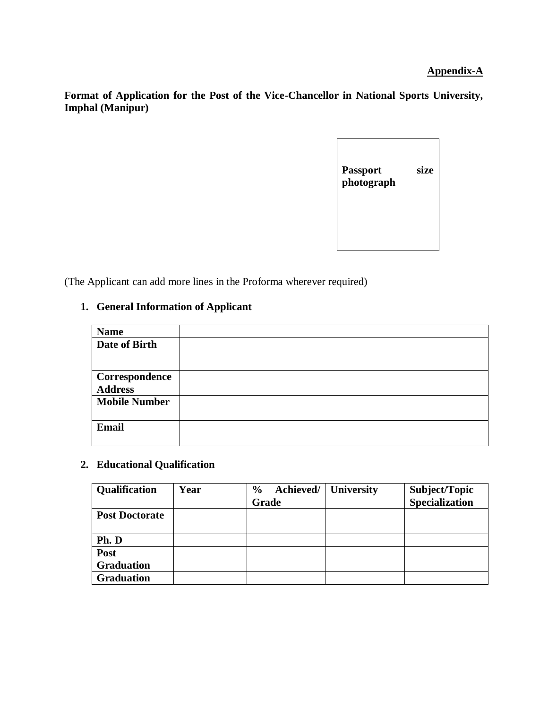### **Appendix-A**

**Format of Application for the Post of the Vice-Chancellor in National Sports University, Imphal (Manipur)** 

| <b>Passport</b><br>photograph | size |
|-------------------------------|------|
|                               |      |

(The Applicant can add more lines in the Proforma wherever required)

## **1. General Information of Applicant**

| <b>Name</b>          |  |
|----------------------|--|
| Date of Birth        |  |
|                      |  |
|                      |  |
| Correspondence       |  |
| <b>Address</b>       |  |
| <b>Mobile Number</b> |  |
|                      |  |
| <b>Email</b>         |  |
|                      |  |
|                      |  |

## **2. Educational Qualification**

| Qualification         | Year | Achieved/<br>$\frac{6}{9}$<br>Grade | <b>University</b> | Subject/Topic<br><b>Specialization</b> |
|-----------------------|------|-------------------------------------|-------------------|----------------------------------------|
| <b>Post Doctorate</b> |      |                                     |                   |                                        |
|                       |      |                                     |                   |                                        |
| Ph. D                 |      |                                     |                   |                                        |
| Post                  |      |                                     |                   |                                        |
| <b>Graduation</b>     |      |                                     |                   |                                        |
| <b>Graduation</b>     |      |                                     |                   |                                        |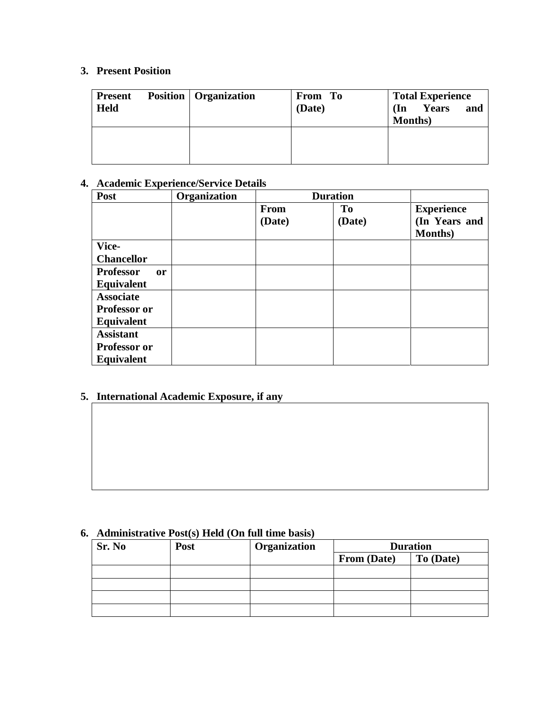# **3. Present Position**

| <b>Present</b><br><b>Held</b> | <b>Position</b>   Organization | From To<br>(Date) | <b>Total Experience</b><br>and<br>Years<br>(In<br><b>Months</b> ) |
|-------------------------------|--------------------------------|-------------------|-------------------------------------------------------------------|
|                               |                                |                   |                                                                   |

# **4. Academic Experience/Service Details**

| Post                              | Organization | <b>Duration</b> |        |                   |
|-----------------------------------|--------------|-----------------|--------|-------------------|
|                                   |              | <b>From</b>     | To     | <b>Experience</b> |
|                                   |              | (Date)          | (Date) | (In Years and     |
|                                   |              |                 |        | <b>Months</b> )   |
| Vice-                             |              |                 |        |                   |
| <b>Chancellor</b>                 |              |                 |        |                   |
| <b>Professor</b><br><sub>or</sub> |              |                 |        |                   |
| Equivalent                        |              |                 |        |                   |
| <b>Associate</b>                  |              |                 |        |                   |
| Professor or                      |              |                 |        |                   |
| Equivalent                        |              |                 |        |                   |
| <b>Assistant</b>                  |              |                 |        |                   |
| Professor or                      |              |                 |        |                   |
| <b>Equivalent</b>                 |              |                 |        |                   |

# **5. International Academic Exposure, if any**

# **6. Administrative Post(s) Held (On full time basis)**

| Sr. No | <b>Post</b> | Organization | <b>Duration</b> |           |
|--------|-------------|--------------|-----------------|-----------|
|        |             |              | From (Date)     | To (Date) |
|        |             |              |                 |           |
|        |             |              |                 |           |
|        |             |              |                 |           |
|        |             |              |                 |           |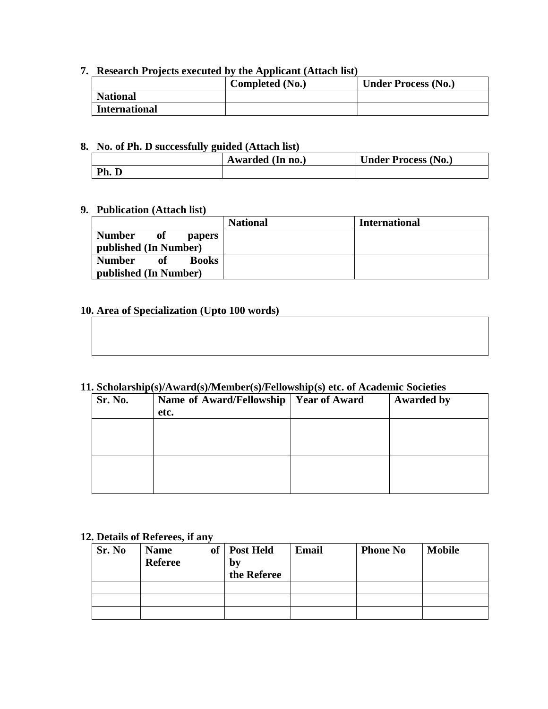## **7. Research Projects executed by the Applicant (Attach list)**

|                      | Completed (No.) | <b>Under Process (No.)</b> |
|----------------------|-----------------|----------------------------|
| <b>National</b>      |                 |                            |
| <b>International</b> |                 |                            |

#### **8. No. of Ph. D successfully guided (Attach list)**

|     | Awarded (In no.) | <b>Under Process (No.)</b> |
|-----|------------------|----------------------------|
| Ph. |                  |                            |

### **9. Publication (Attach list)**

|                                                               | <b>National</b> | <b>International</b> |
|---------------------------------------------------------------|-----------------|----------------------|
| <b>Number</b><br>of<br><b>papers</b><br>published (In Number) |                 |                      |
| <b>Number</b><br><b>Books</b><br>оť                           |                 |                      |
| published (In Number)                                         |                 |                      |

### **10. Area of Specialization (Upto 100 words)**

#### **11. Scholarship(s)/Award(s)/Member(s)/Fellowship(s) etc. of Academic Societies**

| Sr. No. | Name of Award/Fellowship<br>etc. | <b>Year of Award</b> | <b>Awarded by</b> |
|---------|----------------------------------|----------------------|-------------------|
|         |                                  |                      |                   |
|         |                                  |                      |                   |
|         |                                  |                      |                   |

#### **12. Details of Referees, if any**

| Sr. No | <b>Name</b><br><b>Referee</b> | of   Post Held<br>by<br>the Referee | <b>Email</b> | <b>Phone No</b> | <b>Mobile</b> |
|--------|-------------------------------|-------------------------------------|--------------|-----------------|---------------|
|        |                               |                                     |              |                 |               |
|        |                               |                                     |              |                 |               |
|        |                               |                                     |              |                 |               |